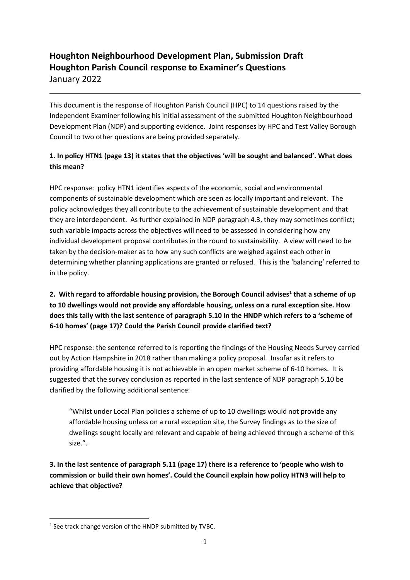# **Houghton Neighbourhood Development Plan, Submission Draft Houghton Parish Council response to Examiner's Questions** January 2022

This document is the response of Houghton Parish Council (HPC) to 14 questions raised by the Independent Examiner following his initial assessment of the submitted Houghton Neighbourhood Development Plan (NDP) and supporting evidence. Joint responses by HPC and Test Valley Borough Council to two other questions are being provided separately.

### **1. In policy HTN1 (page 13) it states that the objectives 'will be sought and balanced'. What does this mean?**

HPC response: policy HTN1 identifies aspects of the economic, social and environmental components of sustainable development which are seen as locally important and relevant. The policy acknowledges they all contribute to the achievement of sustainable development and that they are interdependent. As further explained in NDP paragraph 4.3, they may sometimes conflict; such variable impacts across the objectives will need to be assessed in considering how any individual development proposal contributes in the round to sustainability. A view will need to be taken by the decision-maker as to how any such conflicts are weighed against each other in determining whether planning applications are granted or refused. This is the 'balancing' referred to in the policy.

## **2. With regard to affordable housing provision, the Borough Council advises<sup>1</sup> that a scheme of up to 10 dwellings would not provide any affordable housing, unless on a rural exception site. How does this tally with the last sentence of paragraph 5.10 in the HNDP which refers to a 'scheme of 6-10 homes' (page 17)? Could the Parish Council provide clarified text?**

HPC response: the sentence referred to is reporting the findings of the Housing Needs Survey carried out by Action Hampshire in 2018 rather than making a policy proposal. Insofar as it refers to providing affordable housing it is not achievable in an open market scheme of 6-10 homes. It is suggested that the survey conclusion as reported in the last sentence of NDP paragraph 5.10 be clarified by the following additional sentence:

"Whilst under Local Plan policies a scheme of up to 10 dwellings would not provide any affordable housing unless on a rural exception site, the Survey findings as to the size of dwellings sought locally are relevant and capable of being achieved through a scheme of this size.".

**3. In the last sentence of paragraph 5.11 (page 17) there is a reference to 'people who wish to commission or build their own homes'. Could the Council explain how policy HTN3 will help to achieve that objective?** 

<sup>&</sup>lt;sup>1</sup> See track change version of the HNDP submitted by TVBC.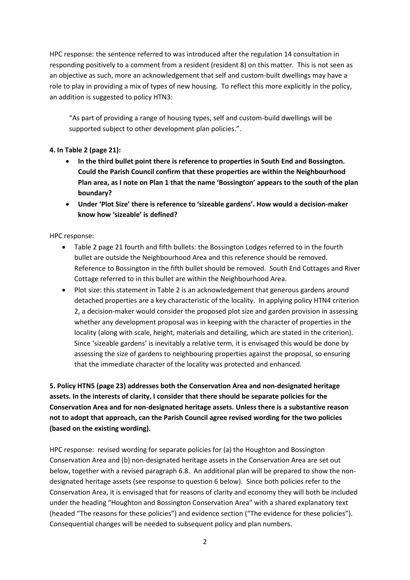HPC response: the sentence referred to was introduced after the regulation 14 consultation in responding positively to a comment from a resident (resident 8) on this matter. This is not seen as an objective as such, more an acknowledgement that self and custom-built dwellings may have a role to play in providing a mix of types of new housing. To reflect this more explicitly in the policy, an addition is suggested to policy HTN3:

"As part of providing a range of housing types, self and custom-build dwellings will be supported subject to other development plan policies.".

#### **4. In Table 2 (page 21):**

- **In the third bullet point there is reference to properties in South End and Bossington. Could the Parish Council confirm that these properties are within the Neighbourhood Plan area, as I note on Plan 1 that the name 'Bossington' appears to the south of the plan boundary?**
- **Under 'Plot Size' there is reference to 'sizeable gardens'. How would a decision-maker know how 'sizeable' is defined?**

HPC response:

- Table 2 page 21 fourth and fifth bullets: the Bossington Lodges referred to in the fourth bullet are outside the Neighbourhood Area and this reference should be removed. Reference to Bossington in the fifth bullet should be removed. South End Cottages and River Cottage referred to in this bullet are within the Neighbourhood Area.
- Plot size: this statement in Table 2 is an acknowledgement that generous gardens around detached properties are a key characteristic of the locality. In applying policy HTN4 criterion 2, a decision-maker would consider the proposed plot size and garden provision in assessing whether any development proposal was in keeping with the character of properties in the locality (along with scale, height, materials and detailing, which are stated in the criterion). Since 'sizeable gardens' is inevitably a relative term, it is envisaged this would be done by assessing the size of gardens to neighbouring properties against the proposal, so ensuring that the immediate character of the locality was protected and enhanced.

**5. Policy HTN5 (page 23) addresses both the Conservation Area and non-designated heritage assets. In the interests of clarity, I consider that there should be separate policies for the Conservation Area and for non-designated heritage assets. Unless there is a substantive reason not to adopt that approach, can the Parish Council agree revised wording for the two policies (based on the existing wording).**

HPC response: revised wording for separate policies for (a) the Houghton and Bossington Conservation Area and (b) non-designated heritage assets in the Conservation Area are set out below, together with a revised paragraph 6.8. An additional plan will be prepared to show the nondesignated heritage assets (see response to question 6 below). Since both policies refer to the Conservation Area, it is envisaged that for reasons of clarity and economy they will both be included under the heading "Houghton and Bossington Conservation Area" with a shared explanatory text (headed "The reasons for these policies") and evidence section ("The evidence for these policies"). Consequential changes will be needed to subsequent policy and plan numbers.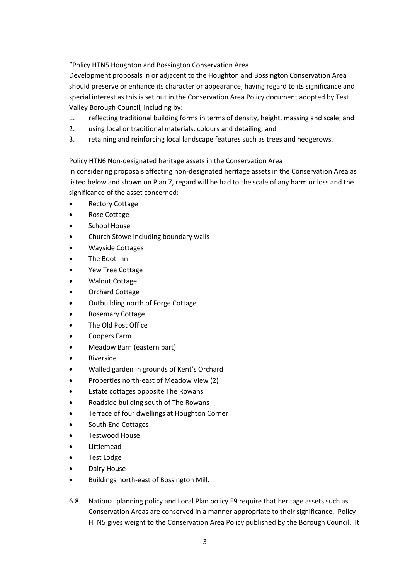"Policy HTN5 Houghton and Bossington Conservation Area

Development proposals in or adjacent to the Houghton and Bossington Conservation Area should preserve or enhance its character or appearance, having regard to its significance and special interest as this is set out in the Conservation Area Policy document adopted by Test Valley Borough Council, including by:

- 1. reflecting traditional building forms in terms of density, height, massing and scale; and
- 2. using local or traditional materials, colours and detailing; and
- 3. retaining and reinforcing local landscape features such as trees and hedgerows.

Policy HTN6 Non-designated heritage assets in the Conservation Area

In considering proposals affecting non-designated heritage assets in the Conservation Area as listed below and shown on Plan 7, regard will be had to the scale of any harm or loss and the significance of the asset concerned:

- Rectory Cottage
- Rose Cottage
- School House
- Church Stowe including boundary walls
- Wayside Cottages
- The Boot Inn
- Yew Tree Cottage
- Walnut Cottage
- Orchard Cottage
- Outbuilding north of Forge Cottage
- Rosemary Cottage
- The Old Post Office
- Coopers Farm
- Meadow Barn (eastern part)
- Riverside
- Walled garden in grounds of Kent's Orchard
- Properties north-east of Meadow View (2)
- Estate cottages opposite The Rowans
- Roadside building south of The Rowans
- Terrace of four dwellings at Houghton Corner
- South End Cottages
- Testwood House
- **Littlemead**
- Test Lodge
- Dairy House
- Buildings north-east of Bossington Mill.
- 6.8 National planning policy and Local Plan policy E9 require that heritage assets such as Conservation Areas are conserved in a manner appropriate to their significance. Policy HTN5 gives weight to the Conservation Area Policy published by the Borough Council. It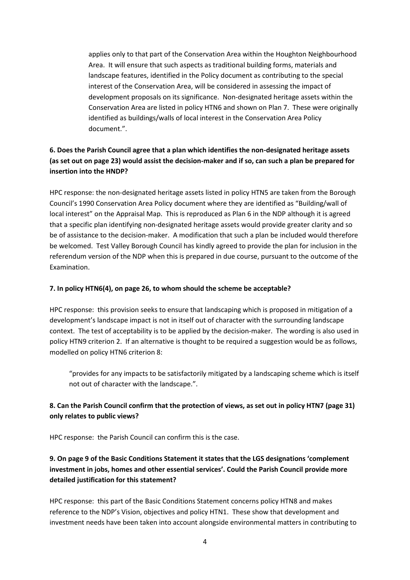applies only to that part of the Conservation Area within the Houghton Neighbourhood Area. It will ensure that such aspects as traditional building forms, materials and landscape features, identified in the Policy document as contributing to the special interest of the Conservation Area, will be considered in assessing the impact of development proposals on its significance. Non-designated heritage assets within the Conservation Area are listed in policy HTN6 and shown on Plan 7. These were originally identified as buildings/walls of local interest in the Conservation Area Policy document.".

### **6. Does the Parish Council agree that a plan which identifies the non-designated heritage assets (as set out on page 23) would assist the decision-maker and if so, can such a plan be prepared for insertion into the HNDP?**

HPC response: the non-designated heritage assets listed in policy HTN5 are taken from the Borough Council's 1990 Conservation Area Policy document where they are identified as "Building/wall of local interest" on the Appraisal Map. This is reproduced as Plan 6 in the NDP although it is agreed that a specific plan identifying non-designated heritage assets would provide greater clarity and so be of assistance to the decision-maker. A modification that such a plan be included would therefore be welcomed. Test Valley Borough Council has kindly agreed to provide the plan for inclusion in the referendum version of the NDP when this is prepared in due course, pursuant to the outcome of the Examination.

#### **7. In policy HTN6(4), on page 26, to whom should the scheme be acceptable?**

HPC response: this provision seeks to ensure that landscaping which is proposed in mitigation of a development's landscape impact is not in itself out of character with the surrounding landscape context. The test of acceptability is to be applied by the decision-maker. The wording is also used in policy HTN9 criterion 2. If an alternative is thought to be required a suggestion would be as follows, modelled on policy HTN6 criterion 8:

"provides for any impacts to be satisfactorily mitigated by a landscaping scheme which is itself not out of character with the landscape.".

### **8. Can the Parish Council confirm that the protection of views, as set out in policy HTN7 (page 31) only relates to public views?**

HPC response: the Parish Council can confirm this is the case.

### **9. On page 9 of the Basic Conditions Statement it states that the LGS designations 'complement investment in jobs, homes and other essential services'. Could the Parish Council provide more detailed justification for this statement?**

HPC response: this part of the Basic Conditions Statement concerns policy HTN8 and makes reference to the NDP's Vision, objectives and policy HTN1. These show that development and investment needs have been taken into account alongside environmental matters in contributing to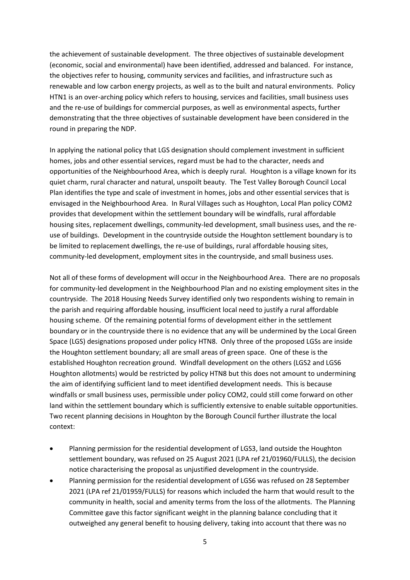the achievement of sustainable development. The three objectives of sustainable development (economic, social and environmental) have been identified, addressed and balanced. For instance, the objectives refer to housing, community services and facilities, and infrastructure such as renewable and low carbon energy projects, as well as to the built and natural environments. Policy HTN1 is an over-arching policy which refers to housing, services and facilities, small business uses and the re-use of buildings for commercial purposes, as well as environmental aspects, further demonstrating that the three objectives of sustainable development have been considered in the round in preparing the NDP.

In applying the national policy that LGS designation should complement investment in sufficient homes, jobs and other essential services, regard must be had to the character, needs and opportunities of the Neighbourhood Area, which is deeply rural. Houghton is a village known for its quiet charm, rural character and natural, unspoilt beauty. The Test Valley Borough Council Local Plan identifies the type and scale of investment in homes, jobs and other essential services that is envisaged in the Neighbourhood Area. In Rural Villages such as Houghton, Local Plan policy COM2 provides that development within the settlement boundary will be windfalls, rural affordable housing sites, replacement dwellings, community-led development, small business uses, and the reuse of buildings. Development in the countryside outside the Houghton settlement boundary is to be limited to replacement dwellings, the re-use of buildings, rural affordable housing sites, community-led development, employment sites in the countryside, and small business uses.

Not all of these forms of development will occur in the Neighbourhood Area. There are no proposals for community-led development in the Neighbourhood Plan and no existing employment sites in the countryside. The 2018 Housing Needs Survey identified only two respondents wishing to remain in the parish and requiring affordable housing, insufficient local need to justify a rural affordable housing scheme. Of the remaining potential forms of development either in the settlement boundary or in the countryside there is no evidence that any will be undermined by the Local Green Space (LGS) designations proposed under policy HTN8. Only three of the proposed LGSs are inside the Houghton settlement boundary; all are small areas of green space. One of these is the established Houghton recreation ground. Windfall development on the others (LGS2 and LGS6 Houghton allotments) would be restricted by policy HTN8 but this does not amount to undermining the aim of identifying sufficient land to meet identified development needs. This is because windfalls or small business uses, permissible under policy COM2, could still come forward on other land within the settlement boundary which is sufficiently extensive to enable suitable opportunities. Two recent planning decisions in Houghton by the Borough Council further illustrate the local context:

- Planning permission for the residential development of LGS3, land outside the Houghton settlement boundary, was refused on 25 August 2021 (LPA ref 21/01960/FULLS), the decision notice characterising the proposal as unjustified development in the countryside.
- Planning permission for the residential development of LGS6 was refused on 28 September 2021 (LPA ref 21/01959/FULLS) for reasons which included the harm that would result to the community in health, social and amenity terms from the loss of the allotments. The Planning Committee gave this factor significant weight in the planning balance concluding that it outweighed any general benefit to housing delivery, taking into account that there was no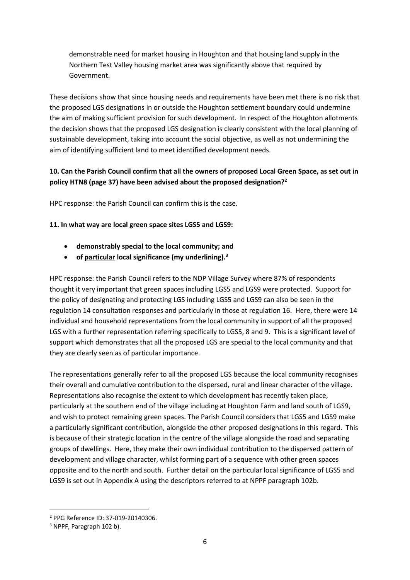demonstrable need for market housing in Houghton and that housing land supply in the Northern Test Valley housing market area was significantly above that required by Government.

These decisions show that since housing needs and requirements have been met there is no risk that the proposed LGS designations in or outside the Houghton settlement boundary could undermine the aim of making sufficient provision for such development. In respect of the Houghton allotments the decision shows that the proposed LGS designation is clearly consistent with the local planning of sustainable development, taking into account the social objective, as well as not undermining the aim of identifying sufficient land to meet identified development needs.

#### **10. Can the Parish Council confirm that all the owners of proposed Local Green Space, as set out in policy HTN8 (page 37) have been advised about the proposed designation?<sup>2</sup>**

HPC response: the Parish Council can confirm this is the case.

#### **11. In what way are local green space sites LGS5 and LGS9:**

- **demonstrably special to the local community; and**
- **of particular local significance (my underlining).<sup>3</sup>**

HPC response: the Parish Council refers to the NDP Village Survey where 87% of respondents thought it very important that green spaces including LGS5 and LGS9 were protected. Support for the policy of designating and protecting LGS including LGS5 and LGS9 can also be seen in the regulation 14 consultation responses and particularly in those at regulation 16. Here, there were 14 individual and household representations from the local community in support of all the proposed LGS with a further representation referring specifically to LGS5, 8 and 9. This is a significant level of support which demonstrates that all the proposed LGS are special to the local community and that they are clearly seen as of particular importance.

The representations generally refer to all the proposed LGS because the local community recognises their overall and cumulative contribution to the dispersed, rural and linear character of the village. Representations also recognise the extent to which development has recently taken place, particularly at the southern end of the village including at Houghton Farm and land south of LGS9, and wish to protect remaining green spaces. The Parish Council considers that LGS5 and LGS9 make a particularly significant contribution, alongside the other proposed designations in this regard. This is because of their strategic location in the centre of the village alongside the road and separating groups of dwellings. Here, they make their own individual contribution to the dispersed pattern of development and village character, whilst forming part of a sequence with other green spaces opposite and to the north and south. Further detail on the particular local significance of LGS5 and LGS9 is set out in Appendix A using the descriptors referred to at NPPF paragraph 102b.

<sup>2</sup> PPG Reference ID: 37-019-20140306.

<sup>3</sup> NPPF, Paragraph 102 b).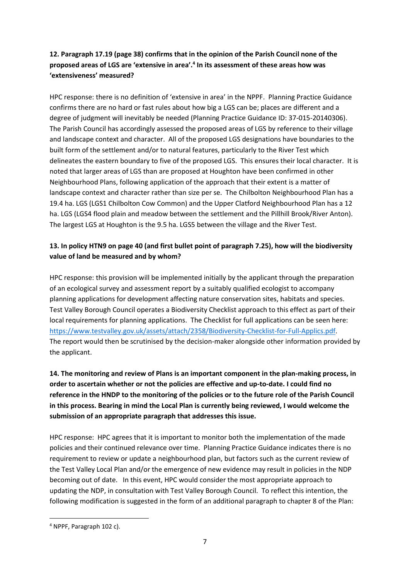### **12. Paragraph 17.19 (page 38) confirms that in the opinion of the Parish Council none of the proposed areas of LGS are 'extensive in area'.<sup>4</sup> In its assessment of these areas how was 'extensiveness' measured?**

HPC response: there is no definition of 'extensive in area' in the NPPF. Planning Practice Guidance confirms there are no hard or fast rules about how big a LGS can be; places are different and a degree of judgment will inevitably be needed (Planning Practice Guidance ID: 37-015-20140306). The Parish Council has accordingly assessed the proposed areas of LGS by reference to their village and landscape context and character. All of the proposed LGS designations have boundaries to the built form of the settlement and/or to natural features, particularly to the River Test which delineates the eastern boundary to five of the proposed LGS. This ensures their local character. It is noted that larger areas of LGS than are proposed at Houghton have been confirmed in other Neighbourhood Plans, following application of the approach that their extent is a matter of landscape context and character rather than size per se. The Chilbolton Neighbourhood Plan has a 19.4 ha. LGS (LGS1 Chilbolton Cow Common) and the Upper Clatford Neighbourhood Plan has a 12 ha. LGS (LGS4 flood plain and meadow between the settlement and the Pillhill Brook/River Anton). The largest LGS at Houghton is the 9.5 ha. LGS5 between the village and the River Test.

#### **13. In policy HTN9 on page 40 (and first bullet point of paragraph 7.25), how will the biodiversity value of land be measured and by whom?**

HPC response: this provision will be implemented initially by the applicant through the preparation of an ecological survey and assessment report by a suitably qualified ecologist to accompany planning applications for development affecting nature conservation sites, habitats and species. Test Valley Borough Council operates a Biodiversity Checklist approach to this effect as part of their local requirements for planning applications. The Checklist for full applications can be seen here: [https://www.testvalley.gov.uk/assets/attach/2358/Biodiversity-Checklist-for-Full-Applics.pdf.](https://www.testvalley.gov.uk/assets/attach/2358/Biodiversity-Checklist-for-Full-Applics.pdf) The report would then be scrutinised by the decision-maker alongside other information provided by the applicant.

**14. The monitoring and review of Plans is an important component in the plan-making process, in order to ascertain whether or not the policies are effective and up-to-date. I could find no reference in the HNDP to the monitoring of the policies or to the future role of the Parish Council in this process. Bearing in mind the Local Plan is currently being reviewed, I would welcome the submission of an appropriate paragraph that addresses this issue.** 

HPC response: HPC agrees that it is important to monitor both the implementation of the made policies and their continued relevance over time. Planning Practice Guidance indicates there is no requirement to review or update a neighbourhood plan, but factors such as the current review of the Test Valley Local Plan and/or the emergence of new evidence may result in policies in the NDP becoming out of date. In this event, HPC would consider the most appropriate approach to updating the NDP, in consultation with Test Valley Borough Council. To reflect this intention, the following modification is suggested in the form of an additional paragraph to chapter 8 of the Plan:

<sup>4</sup> NPPF, Paragraph 102 c).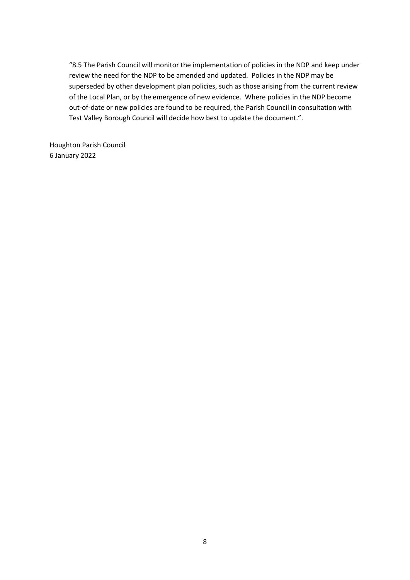"8.5 The Parish Council will monitor the implementation of policies in the NDP and keep under review the need for the NDP to be amended and updated. Policies in the NDP may be superseded by other development plan policies, such as those arising from the current review of the Local Plan, or by the emergence of new evidence. Where policies in the NDP become out-of-date or new policies are found to be required, the Parish Council in consultation with Test Valley Borough Council will decide how best to update the document.".

Houghton Parish Council 6 January 2022